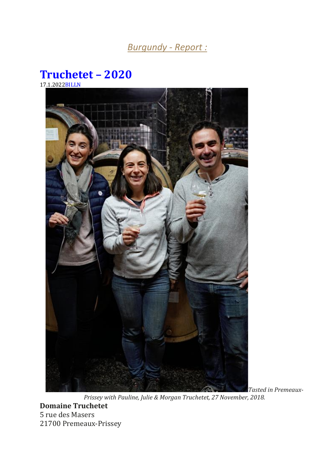# *Burgundy - Report :*

## **[Truchetet](https://www.burgundy-report.com/burgundy-report-extra/12-2021/truchetet-2020/) – 2020** 17.1.202[2BILLN](https://www.burgundy-report.com/author/billn/)





*Tasted in Premeaux-*

*Prissey with Pauline, Julie & Morgan Truchetet, 27 November, 2018.* **Domaine Truchetet** 5 rue des Masers 21700 Premeaux-Prissey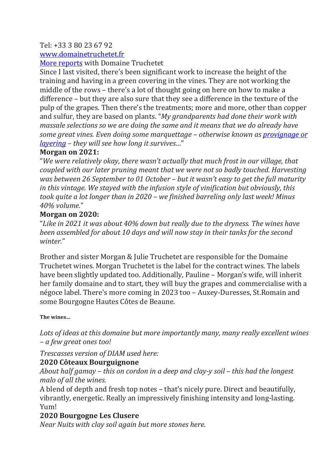#### Tel: +33 3 80 23 67 92

#### [www.domainetruchetet.fr](http://www.domainetruchetet.fr/)

More [reports](https://www.burgundy-report.com/?s=Truchetet) with Domaine Truchetet

Since I last visited, there's been significant work to increase the height of the training and having in a green covering in the vines. They are not working the middle of the rows – there's a lot of thought going on here on how to make a difference – but they are also sure that they see a difference in the texture of the pulp of the grapes. Then there's the treatments; more and more, other than copper and sulfur, they are based on plants. "*My grandparents had done their work with massale selections so we are doing the same and it means that we do already have some great vines. Even doing some marquettage – otherwise known as [provignage](https://www.burgundy-report.com/discover-burgundy/13-a-technical-glossary/#pigeage) or [layering](https://www.burgundy-report.com/discover-burgundy/13-a-technical-glossary/#pigeage) – they will see how long it survives…*"

#### **Morgan on 2021:**

"*We were relatively okay, there wasn't actually that much frost in our village, that coupled with our later pruning meant that we were not so badly touched. Harvesting was between 26 September to 01 October – but it wasn't easy to get the full maturity in this vintage. We stayed with the infusion style of vinification but obviously, this took quite a lot longer than in 2020 – we finished barreling only last week! Minus 40% volume.*"

#### **Morgan on 2020:**

"*Like in 2021 it was about 40% down but really due to the dryness. The wines have been assembled for about 10 days and will now stay in their tanks for the second winter.*"

Brother and sister Morgan & Julie Truchetet are responsible for the Domaine Truchetet wines. Morgan Truchetet is the label for the contract wines. The labels have been slightly updated too. Additionally, Pauline – Morgan's wife, will inherit her family domaine and to start, they will buy the grapes and commercialise with a négoce label. There's more coming in 2023 too – Auxey-Duresses, St.Romain and some Bourgogne Hautes Côtes de Beaune.

#### **The wines…**

*Lots of ideas at this domaine but more importantly many, many really excellent wines – a few great ones too!*

*Trescasses version of DIAM used here:*

#### **2020 Côteaux Bourguignone**

*About half gamay – this on cordon in a deep and clay-y soil – this had the longest malo of all the wines.*

A blend of depth and fresh top notes – that's nicely pure. Direct and beautifully, vibrantly, energetic. Really an impressively finishing intensity and long-lasting. Yum!

#### **2020 Bourgogne Les Clusere**

*Near Nuits with clay soil again but more stones here.*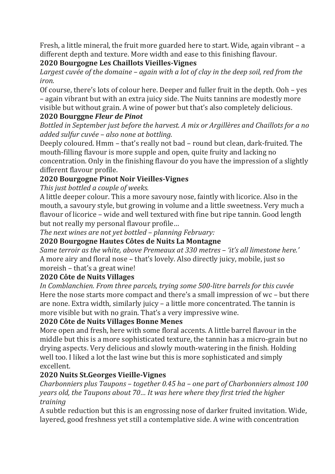Fresh, a little mineral, the fruit more guarded here to start. Wide, again vibrant – a different depth and texture. More width and ease to this finishing flavour.

#### **2020 Bourgogne Les Chaillots Vieilles-Vignes**

*Largest cuvée of the domaine – again with a lot of clay in the deep soil, red from the iron.*

Of course, there's lots of colour here. Deeper and fuller fruit in the depth. Ooh – yes – again vibrant but with an extra juicy side. The Nuits tannins are modestly more visible but without grain. A wine of power but that's also completely delicious.

#### **2020 Bourggne** *Fleur de Pinot*

*Bottled in September just before the harvest. A mix or Argillères and Chaillots for a no added sulfur cuvée – also none at bottling.*

Deeply coloured. Hmm – that's really not bad – round but clean, dark-fruited. The mouth-filling flavour is more supple and open, quite fruity and lacking no concentration. Only in the finishing flavour do you have the impression of a slightly different flavour profile.

### **2020 Bourgogne Pinot Noir Vieilles-Vignes**

*This just bottled a couple of weeks.*

A little deeper colour. This a more savoury nose, faintly with licorice. Also in the mouth, a savoury style, but growing in volume and a little sweetness. Very much a flavour of licorice – wide and well textured with fine but ripe tannin. Good length but not really my personal flavour profile…

*The next wines are not yet bottled – planning February:*

#### **2020 Bourgogne Hautes Côtes de Nuits La Montagne**

*Same terroir as the white, above Premeaux at 330 metres – 'it's all limestone here.'* A more airy and floral nose – that's lovely. Also directly juicy, mobile, just so moreish – that's a great wine!

#### **2020 Côte de Nuits Villages**

*In Comblanchien. From three parcels, trying some 500-litre barrels for this cuvée* Here the nose starts more compact and there's a small impression of wc – but there are none. Extra width, similarly juicy – a little more concentrated. The tannin is more visible but with no grain. That's a very impressive wine.

#### **2020 Côte de Nuits Villages Bonne Menes**

More open and fresh, here with some floral accents. A little barrel flavour in the middle but this is a more sophisticated texture, the tannin has a micro-grain but no drying aspects. Very delicious and slowly mouth-watering in the finish. Holding well too. I liked a lot the last wine but this is more sophisticated and simply excellent.

#### **2020 Nuits St.Georges Vieille-Vignes**

*Charbonniers plus Taupons – together 0.45 ha – one part of Charbonniers almost 100 years old, the Taupons about 70… It was here where they first tried the higher training*

A subtle reduction but this is an engrossing nose of darker fruited invitation. Wide, layered, good freshness yet still a contemplative side. A wine with concentration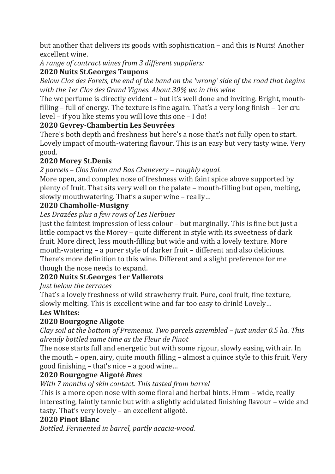but another that delivers its goods with sophistication – and this is Nuits! Another excellent wine.

*A range of contract wines from 3 different suppliers:*

#### **2020 Nuits St.Georges Taupons**

*Below Clos des Forets, the end of the band on the 'wrong' side of the road that begins with the 1er Clos des Grand Vignes. About 30% wc in this wine*

The wc perfume is directly evident – but it's well done and inviting. Bright, mouthfilling – full of energy. The texture is fine again. That's a very long finish – 1er cru level – if you like stems you will love this one – I do!

#### **2020 Gevrey-Chambertin Les Seuvrées**

There's both depth and freshness but here's a nose that's not fully open to start. Lovely impact of mouth-watering flavour. This is an easy but very tasty wine. Very good.

#### **2020 Morey St.Denis**

*2 parcels – Clos Solon and Bas Chenevery – roughly equal.*

More open, and complex nose of freshness with faint spice above supported by plenty of fruit. That sits very well on the palate – mouth-filling but open, melting, slowly mouthwatering. That's a super wine – really…

#### **2020 Chambolle-Musigny**

*Les Drazées plus a few rows of Les Herbues*

Just the faintest impression of less colour – but marginally. This is fine but just a little compact vs the Morey – quite different in style with its sweetness of dark fruit. More direct, less mouth-filling but wide and with a lovely texture. More mouth-watering – a purer style of darker fruit – different and also delicious. There's more definition to this wine. Different and a slight preference for me though the nose needs to expand.

#### **2020 Nuits St.Georges 1er Vallerots**

*Just below the terraces*

That's a lovely freshness of wild strawberry fruit. Pure, cool fruit, fine texture, slowly melting. This is excellent wine and far too easy to drink! Lovely…

#### **Les Whites:**

#### **2020 Bourgogne Aligote**

*Clay soil at the bottom of Premeaux. Two parcels assembled – just under 0.5 ha. This already bottled same time as the Fleur de Pinot*

The nose starts full and energetic but with some rigour, slowly easing with air. In the mouth – open, airy, quite mouth filling – almost a quince style to this fruit. Very good finishing – that's nice – a good wine…

#### **2020 Bourgogne Aligoté** *Baes*

*With 7 months of skin contact. This tasted from barrel*

This is a more open nose with some floral and herbal hints. Hmm – wide, really interesting, faintly tannic but with a slightly acidulated finishing flavour – wide and tasty. That's very lovely – an excellent aligoté.

#### **2020 Pinot Blanc**

*Bottled. Fermented in barrel, partly acacia-wood.*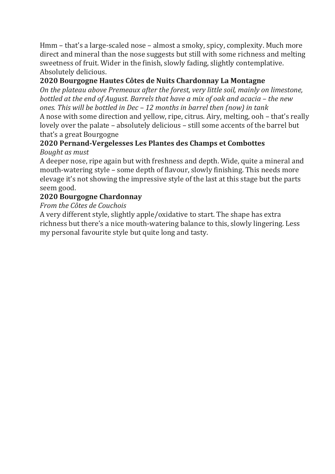Hmm – that's a large-scaled nose – almost a smoky, spicy, complexity. Much more direct and mineral than the nose suggests but still with some richness and melting sweetness of fruit. Wider in the finish, slowly fading, slightly contemplative. Absolutely delicious.

#### **2020 Bourgogne Hautes Côtes de Nuits Chardonnay La Montagne**

*On the plateau above Premeaux after the forest, very little soil, mainly on limestone, bottled at the end of August. Barrels that have a mix of oak and acacia – the new ones. This will be bottled in Dec – 12 months in barrel then (now) in tank* A nose with some direction and yellow, ripe, citrus. Airy, melting, ooh – that's really

lovely over the palate – absolutely delicious – still some accents of the barrel but that's a great Bourgogne

# **2020 Pernand-Vergelesses Les Plantes des Champs et Combottes**

*Bought as must*

A deeper nose, ripe again but with freshness and depth. Wide, quite a mineral and mouth-watering style – some depth of flavour, slowly finishing. This needs more elevage it's not showing the impressive style of the last at this stage but the parts seem good.

### **2020 Bourgogne Chardonnay**

#### *From the Côtes de Couchois*

A very different style, slightly apple/oxidative to start. The shape has extra richness but there's a nice mouth-watering balance to this, slowly lingering. Less my personal favourite style but quite long and tasty.